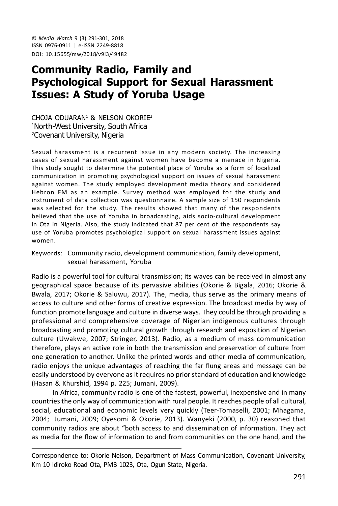© *Media Watch* 9 (3) 291-301, 2018 ISSN 0976-0911 | e-ISSN 2249-8818 DOI: 10.15655/mw/2018/v9i3/49482

# **Community Radio, Family and Psychological Support for Sexual Harassment Issues: A Study of Yoruba Usage**

CHOJA ODUARAN<sup>1</sup> & NELSON OKORIE<sup>2</sup> <sup>1</sup>North-West University, South Africa <sup>2</sup>Covenant University, Nigeria

Sexual harassment is a recurrent issue in any modern society. The increasing cases of sexual harassment against women have become a menace in Nigeria. This study sought to determine the potential place of Yoruba as a form of localized communication in promoting psychological support on issues of sexual harassment against women. The study employed development media theory and considered Hebron FM as an example. Survey method was employed for the study and instrument of data collection was questionnaire. A sample size of 150 respondents was selected for the study. The results showed that many of the respondents believed that the use of Yoruba in broadcasting, aids socio-cultural development in Ota in Nigeria. Also, the study indicated that 87 per cent of the respondents say use of Yoruba promotes psychological support on sexual harassment issues against women.

Keywords: Community radio, development communication, family development, sexual harassment, Yoruba

Radio is a powerful tool for cultural transmission; its waves can be received in almost any geographical space because of its pervasive abilities (Okorie & Bigala, 2016; Okorie & Bwala, 2017; Okorie & Saluwu, 2017). The, media, thus serve as the primary means of access to culture and other forms of creative expression. The broadcast media by way of function promote language and culture in diverse ways. They could be through providing a professional and comprehensive coverage of Nigerian indigenous cultures through broadcasting and promoting cultural growth through research and exposition of Nigerian culture (Uwakwe, 2007; Stringer, 2013). Radio, as a medium of mass communication therefore, plays an active role in both the transmission and preservation of culture from one generation to another. Unlike the printed words and other media of communication, radio enjoys the unique advantages of reaching the far flung areas and message can be easily understood by everyone as it requires no prior standard of education and knowledge (Hasan & Khurshid, 1994 p. 225; Jumani, 2009).

In Africa, community radio is one of the fastest, powerful, inexpensive and in many countries the only way of communication with rural people. It reaches people of all cultural, social, educational and economic levels very quickly (Teer-Tomaselli, 2001; Mhagama, 2004; Jumani, 2009; Oyesomi & Okorie, 2013). Wanyeki (2000, p. 30) reasoned that community radios are about "both access to and dissemination of information. They act as media for the flow of information to and from communities on the one hand, and the

Correspondence to: Okorie Nelson, Department of Mass Communication, Covenant University, Km 10 Idiroko Road Ota, PMB 1023, Ota, Ogun State, Nigeria.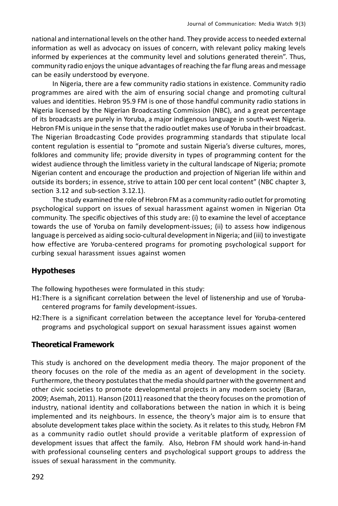national and international levels on the other hand. They provide access to needed external information as well as advocacy on issues of concern, with relevant policy making levels informed by experiences at the community level and solutions generated therein". Thus, community radio enjoys the unique advantages of reaching the far flung areas and message can be easily understood by everyone.

In Nigeria, there are a few community radio stations in existence. Community radio programmes are aired with the aim of ensuring social change and promoting cultural values and identities. Hebron 95.9 FM is one of those handful community radio stations in Nigeria licensed by the Nigerian Broadcasting Commission (NBC), and a great percentage of its broadcasts are purely in Yoruba, a major indigenous language in south-west Nigeria. Hebron FM is unique in the sense that the radio outlet makes use of Yoruba in their broadcast. The Nigerian Broadcasting Code provides programming standards that stipulate local content regulation is essential to "promote and sustain Nigeria's diverse cultures, mores, folklores and community life; provide diversity in types of programming content for the widest audience through the limitless variety in the cultural landscape of Nigeria; promote Nigerian content and encourage the production and projection of Nigerian life within and outside its borders; in essence, strive to attain 100 per cent local content" (NBC chapter 3, section 3.12 and sub-section 3.12.1).

The study examined the role of Hebron FM as a community radio outlet for promoting psychological support on issues of sexual harassment against women in Nigerian Ota community. The specific objectives of this study are: (i) to examine the level of acceptance towards the use of Yoruba on family development-issues; (ii) to assess how indigenous language is perceived as aiding socio-cultural development in Nigeria; and (iii) to investigate how effective are Yoruba-centered programs for promoting psychological support for curbing sexual harassment issues against women

## **Hypotheses**

The following hypotheses were formulated in this study:

- H1:There is a significant correlation between the level of listenership and use of Yorubacentered programs for family development-issues.
- H2:There is a significant correlation between the acceptance level for Yoruba-centered programs and psychological support on sexual harassment issues against women

## **Theoretical Framework**

This study is anchored on the development media theory. The major proponent of the theory focuses on the role of the media as an agent of development in the society. Furthermore, the theory postulates that the media should partner with the government and other civic societies to promote developmental projects in any modern society (Baran, 2009; Asemah, 2011). Hanson (2011) reasoned that the theory focuses on the promotion of industry, national identity and collaborations between the nation in which it is being implemented and its neighbours. In essence, the theory's major aim is to ensure that absolute development takes place within the society. As it relates to this study, Hebron FM as a community radio outlet should provide a veritable platform of expression of development issues that affect the family. Also, Hebron FM should work hand-in-hand with professional counseling centers and psychological support groups to address the issues of sexual harassment in the community.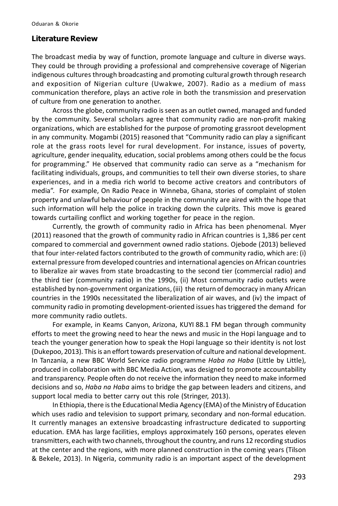#### **Literature Review**

The broadcast media by way of function, promote language and culture in diverse ways. They could be through providing a professional and comprehensive coverage of Nigerian indigenous cultures through broadcasting and promoting cultural growth through research and exposition of Nigerian culture (Uwakwe, 2007). Radio as a medium of mass communication therefore, plays an active role in both the transmission and preservation of culture from one generation to another.

Across the globe, community radio is seen as an outlet owned, managed and funded by the community. Several scholars agree that community radio are non-profit making organizations, which are established for the purpose of promoting grassroot development in any community. Mogambi (2015) reasoned that "Community radio can play a significant role at the grass roots level for rural development. For instance, issues of poverty, agriculture, gender inequality, education, social problems among others could be the focus for programming." He observed that community radio can serve as a "mechanism for facilitating individuals, groups, and communities to tell their own diverse stories, to share experiences, and in a media rich world to become active creators and contributors of media". For example, On Radio Peace in Winneba, Ghana, stories of complaint of stolen property and unlawful behaviour of people in the community are aired with the hope that such information will help the police in tracking down the culprits. This move is geared towards curtailing conflict and working together for peace in the region.

Currently, the growth of community radio in Africa has been phenomenal. Myer (2011) reasoned that the growth of community radio in African countries is 1,386 per cent compared to commercial and government owned radio stations. Ojebode (2013) believed that four inter-related factors contributed to the growth of community radio, which are: (i) external pressure from developed countries and international agencies on African countries to liberalize air waves from state broadcasting to the second tier (commercial radio) and the third tier (community radio) in the 1990s, (ii) Most community radio outlets were established by non-government organizations, (iii) the return of democracy in many African countries in the 1990s necessitated the liberalization of air waves, and (iv) the impact of community radio in promoting development-oriented issues has triggered the demand for more community radio outlets.

For example, in Keams Canyon, Arizona, KUYI 88.1 FM began through community efforts to meet the growing need to hear the news and music in the Hopi language and to teach the younger generation how to speak the Hopi language so their identity is not lost (Dukepoo, 2013). This is an effort towards preservation of culture and national development. In Tanzania, a new BBC World Service radio programme *Haba na Haba* (Little by Little), produced in collaboration with BBC Media Action, was designed to promote accountability and transparency. People often do not receive the information they need to make informed decisions and so, *Haba na Haba* aims to bridge the gap between leaders and citizens, and support local media to better carry out this role (Stringer, 2013).

In Ethiopia, there is the Educational Media Agency (EMA) of the Ministry of Education which uses radio and television to support primary, secondary and non-formal education. It currently manages an extensive broadcasting infrastructure dedicated to supporting education. EMA has large facilities, employs approximately 160 persons, operates eleven transmitters, each with two channels, throughout the country, and runs 12 recording studios at the center and the regions, with more planned construction in the coming years (Tilson & Bekele, 2013). In Nigeria, community radio is an important aspect of the development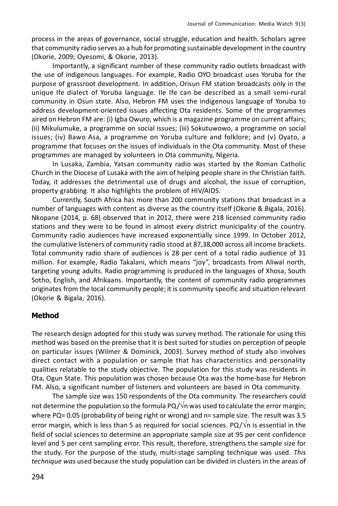process in the areas of governance, social struggle, education and health. Scholars agree that community radio serves as a hub for promoting sustainable development in the country (Okorie, 2009; Oyesomi, & Okorie, 2013).

Importantly, a significant number of these community radio outlets broadcast with the use of indigenous languages. For example, Radio OYO broadcast uses Yoruba for the purpose of grassroot development. In addition, Orisun FM station broadcasts only in the unique Ife dialect of Yoruba language. Ile Ife can be described as a small semi-rural community in Osun state. Also, Hebron FM uses the indigenous language of Yoruba to address development-oriented issues affecting Ota residents. Some of the programmes aired on Hebron FM are: (i) Igba Owuro, which is a magazine programme on current affairs; (ii) Mikulumuke, a programme on social issues; (iii) Sokutuwowo, a programme on social issues; (iv) Bawo Asa, a programme on Yoruba culture and folklore; and (v) Oyato, a programme that focuses on the issues of individuals in the Ota community. Most of these programmes are managed by volunteers in Ota community, Nigeria.

In Lusaka, Zambia, Yatsan community radio was started by the Roman Catholic Church in the Diocese of Lusaka with the aim of helping people share in the Christian faith. Today, it addresses the detrimental use of drugs and alcohol, the issue of corruption, property grabbing. It also highlights the problem of HIV/AIDS.

Currently, South Africa has more than 200 community stations that broadcast in a number of languages with content as diverse as the country itself (Okorie & Bigala, 2016). Nkopane (2014, p. 68) observed that in 2012, there were 218 licensed community radio stations and they were to be found in almost every district municipality of the country. Community radio audiences have increased exponentially since 1999. In October 2012, the cumulative listeners of community radio stood at 87,38,000 across all income brackets. Total community radio share of audiences is 28 per cent of a total radio audience of 31 million. For example, Radio Takalani, which means "joy", broadcasts from Aliwal north, targeting young adults. Radio programming is produced in the languages of Xhosa, South Sotho, English, and Afrikaans. Importantly, the content of community radio programmes originates from the local community people; it is community specific and situation relevant (Okorie & Bigala, 2016).

#### **Method**

The research design adopted for this study was survey method. The rationale for using this method was based on the premise that it is best suited for studies on perception of people on particular issues (Wilmer & Dominick, 2003). Survey method of study also involves direct contact with a population or sample that has characteristics and personality qualities relatable to the study objective. The population for this study was residents in Ota, Ogun State. This population was chosen because Ota was the home-base for Hebron FM. Also, a significant number of listeners and volunteers are based in Ota community.

The sample size was 150 respondents of the Ota community. The researchers could not determine the population so the formula PQ/ $\sqrt{n}$  was used to calculate the error margin; where PQ= 0.05 (probability of being right or wrong) and n= sample size. The result was 3.5 error margin, which is less than 5 as required for social sciences. PQ/ $\sqrt{n}$  is essential in the field of social sciences to determine an appropriate sample size at 95 per cent confidence level and 5 per cent sampling error. This result, therefore, strengthens the sample size for the study. For the purpose of the study, multi-stage sampling technique was used. *This technique was* used because the study population can be divided in clusters in the areas of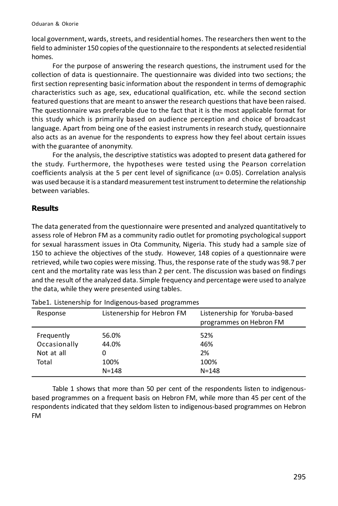local government, wards, streets, and residential homes. The researchers then went to the field to administer 150 copies of the questionnaire to the respondents at selected residential homes.

For the purpose of answering the research questions, the instrument used for the collection of data is questionnaire. The questionnaire was divided into two sections; the first section representing basic information about the respondent in terms of demographic characteristics such as age, sex, educational qualification, etc. while the second section featured questions that are meant to answer the research questions that have been raised. The questionnaire was preferable due to the fact that it is the most applicable format for this study which is primarily based on audience perception and choice of broadcast language. Apart from being one of the easiest instruments in research study, questionnaire also acts as an avenue for the respondents to express how they feel about certain issues with the guarantee of anonymity.

For the analysis, the descriptive statistics was adopted to present data gathered for the study. Furthermore, the hypotheses were tested using the Pearson correlation coefficients analysis at the 5 per cent level of significance ( $\alpha$ = 0.05). Correlation analysis was used because it is a standard measurement test instrument to determine the relationship between variables.

### **Results**

The data generated from the questionnaire were presented and analyzed quantitatively to assess role of Hebron FM as a community radio outlet for promoting psychological support for sexual harassment issues in Ota Community, Nigeria. This study had a sample size of 150 to achieve the objectives of the study. However, 148 copies of a questionnaire were retrieved, while two copies were missing. Thus, the response rate of the study was 98.7 per cent and the mortality rate was less than 2 per cent. The discussion was based on findings and the result of the analyzed data. Simple frequency and percentage were used to analyze the data, while they were presented using tables.

| Response                                          | Listenership for Hebron FM          | Listenership for Yoruba-based<br>programmes on Hebron FM |
|---------------------------------------------------|-------------------------------------|----------------------------------------------------------|
| Frequently<br>Occasionally<br>Not at all<br>Total | 56.0%<br>44.0%<br>100%<br>$N = 148$ | 52%<br>46%<br>2%<br>100%<br>$N = 148$                    |

Tabe1. Listenership for Indigenous-based programmes

Table 1 shows that more than 50 per cent of the respondents listen to indigenousbased programmes on a frequent basis on Hebron FM, while more than 45 per cent of the respondents indicated that they seldom listen to indigenous-based programmes on Hebron FM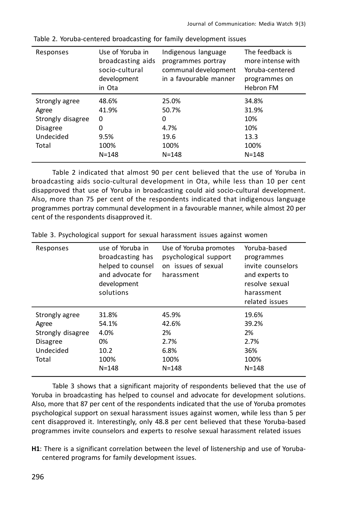| Responses                                                                             | Use of Yoruba in<br>broadcasting aids<br>socio-cultural<br>development<br>in Ota | Indigenous language<br>programmes portray<br>communal development<br>in a favourable manner | The feedback is<br>more intense with<br>Yoruba-centered<br>programmes on<br><b>Hebron FM</b> |
|---------------------------------------------------------------------------------------|----------------------------------------------------------------------------------|---------------------------------------------------------------------------------------------|----------------------------------------------------------------------------------------------|
| Strongly agree<br>Agree<br>Strongly disagree<br><b>Disagree</b><br>Undecided<br>Total | 48.6%<br>41.9%<br>0<br>0<br>9.5%<br>100%                                         | 25.0%<br>50.7%<br>0<br>4.7%<br>19.6<br>100%                                                 | 34.8%<br>31.9%<br>10%<br>10%<br>13.3<br>100%                                                 |
|                                                                                       | $N = 148$                                                                        | $N = 148$                                                                                   | $N = 148$                                                                                    |

Table 2. Yoruba-centered broadcasting for family development issues

Table 2 indicated that almost 90 per cent believed that the use of Yoruba in broadcasting aids socio-cultural development in Ota, while less than 10 per cent disapproved that use of Yoruba in broadcasting could aid socio-cultural development. Also, more than 75 per cent of the respondents indicated that indigenous language programmes portray communal development in a favourable manner, while almost 20 per cent of the respondents disapproved it.

| Responses               | use of Yoruba in<br>broadcasting has<br>helped to counsel<br>and advocate for<br>development<br>solutions | Use of Yoruba promotes<br>psychological support<br>on issues of sexual<br>harassment | Yoruba-based<br>programmes<br>invite counselors<br>and experts to<br>resolve sexual<br>harassment<br>related issues |
|-------------------------|-----------------------------------------------------------------------------------------------------------|--------------------------------------------------------------------------------------|---------------------------------------------------------------------------------------------------------------------|
| Strongly agree<br>Agree | 31.8%<br>54.1%                                                                                            | 45.9%<br>42.6%                                                                       | 19.6%<br>39.2%                                                                                                      |
| Strongly disagree       | 4.0%                                                                                                      | 2%                                                                                   | 2%                                                                                                                  |
| <b>Disagree</b>         | 0%                                                                                                        | 2.7%                                                                                 | 2.7%                                                                                                                |
| Undecided               | 10.2                                                                                                      | 6.8%                                                                                 | 36%                                                                                                                 |
| Total                   | 100%                                                                                                      | 100%                                                                                 | 100%                                                                                                                |
|                         | $N = 148$                                                                                                 | $N = 148$                                                                            | $N = 148$                                                                                                           |

Table 3. Psychological support for sexual harassment issues against women

Table 3 shows that a significant majority of respondents believed that the use of Yoruba in broadcasting has helped to counsel and advocate for development solutions. Also, more that 87 per cent of the respondents indicated that the use of Yoruba promotes psychological support on sexual harassment issues against women, while less than 5 per cent disapproved it. Interestingly, only 48.8 per cent believed that these Yoruba-based programmes invite counselors and experts to resolve sexual harassment related issues

**H1**: There is a significant correlation between the level of listenership and use of Yorubacentered programs for family development issues.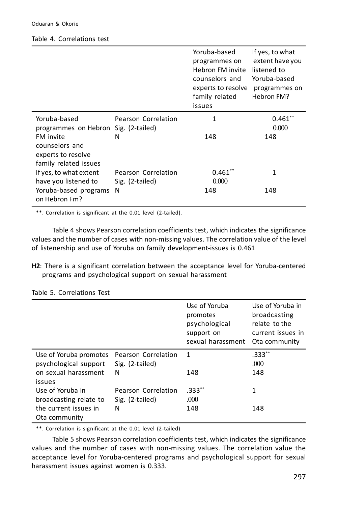#### Table 4. Correlations test

|                                                                            |                                        | Yoruba-based<br>programmes on<br>Hebron FM invite<br>counselors and<br>experts to resolve<br>family related<br>issues | If yes, to what<br>extent have you<br>listened to<br>Yoruba-based<br>programmes on<br>Hebron FM? |
|----------------------------------------------------------------------------|----------------------------------------|-----------------------------------------------------------------------------------------------------------------------|--------------------------------------------------------------------------------------------------|
| Yoruba-based<br>programmes on Hebron Sig. (2-tailed)                       | Pearson Correlation                    | 1                                                                                                                     | $0.461**$<br>0.000                                                                               |
| FM invite<br>counselors and<br>experts to resolve<br>family related issues | N                                      | 148                                                                                                                   | 148                                                                                              |
| If yes, to what extent<br>have you listened to                             | Pearson Correlation<br>Sig. (2-tailed) | $0.461$ **<br>0.000                                                                                                   | 1                                                                                                |
| Yoruba-based programs<br>on Hebron Fm?                                     | N                                      | 148                                                                                                                   | 148                                                                                              |

\*\*. Correlation is significant at the 0.01 level (2-tailed).

Table 4 shows Pearson correlation coefficients test, which indicates the significance values and the number of cases with non-missing values. The correlation value of the level of listenership and use of Yoruba on family development-issues is 0.461

**H2**: There is a significant correlation between the acceptance level for Yoruba-centered programs and psychological support on sexual harassment

|                                                 |                                        | Use of Yoruba<br>promotes<br>psychological<br>support on<br>sexual harassment | Use of Yoruba in<br>broadcasting<br>relate to the<br>current issues in<br>Ota community |
|-------------------------------------------------|----------------------------------------|-------------------------------------------------------------------------------|-----------------------------------------------------------------------------------------|
| Use of Yoruba promotes<br>psychological support | Pearson Correlation<br>Sig. (2-tailed) | $\mathbf{1}$                                                                  | $.333**$<br>.000                                                                        |
| on sexual harassment<br>issues                  | N                                      | 148                                                                           | 148                                                                                     |
| Use of Yoruba in                                | Pearson Correlation                    | $.333**$                                                                      | 1                                                                                       |
| broadcasting relate to                          | Sig. (2-tailed)                        | .000                                                                          |                                                                                         |
| the current issues in<br>Ota community          | Ν                                      | 148                                                                           | 148                                                                                     |

Table 5. Correlations Test

\*\*. Correlation is significant at the 0.01 level (2-tailed)

Table 5 shows Pearson correlation coefficients test, which indicates the significance values and the number of cases with non-missing values. The correlation value the acceptance level for Yoruba-centered programs and psychological support for sexual harassment issues against women is 0.333.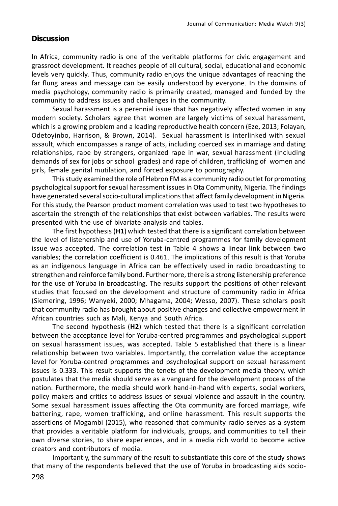### **Discussion**

In Africa, community radio is one of the veritable platforms for civic engagement and grassroot development. It reaches people of all cultural, social, educational and economic levels very quickly. Thus, community radio enjoys the unique advantages of reaching the far flung areas and message can be easily understood by everyone. In the domains of media psychology, community radio is primarily created, managed and funded by the community to address issues and challenges in the community.

Sexual harassment is a perennial issue that has negatively affected women in any modern society. Scholars agree that women are largely victims of sexual harassment, which is a growing problem and a leading reproductive health concern (Eze, 2013; Folayan, Odetoyinbo, Harrison, & Brown, 2014). Sexual harassment is interlinked with sexual assault, which encompasses a range of acts, including coerced sex in marriage and dating relationships, rape by strangers, organized rape in war, sexual harassment (including demands of sex for jobs or school grades) and rape of children, trafficking of women and girls, female genital mutilation, and forced exposure to pornography.

This study examined the role of Hebron FM as a community radio outlet for promoting psychological support for sexual harassment issues in Ota Community, Nigeria. The findings have generated several socio-cultural implications that affect family development in Nigeria. For this study, the Pearson product moment correlation was used to test two hypotheses to ascertain the strength of the relationships that exist between variables. The results were presented with the use of bivariate analysis and tables.

The first hypothesis (**H1**) which tested that there is a significant correlation between the level of listenership and use of Yoruba-centred programmes for family development issue was accepted. The correlation test in Table 4 shows a linear link between two variables; the correlation coefficient is 0.461. The implications of this result is that Yoruba as an indigenous language in Africa can be effectively used in radio broadcasting to strengthen and reinforce family bond. Furthermore, there is a strong listenership preference for the use of Yoruba in broadcasting. The results support the positions of other relevant studies that focused on the development and structure of community radio in Africa (Siemering, 1996; Wanyeki, 2000; Mhagama, 2004; Wesso, 2007). These scholars posit that community radio has brought about positive changes and collective empowerment in African countries such as Mali, Kenya and South Africa.

The second hypothesis (**H2**) which tested that there is a significant correlation between the acceptance level for Yoruba-centred programmes and psychological support on sexual harassment issues, was accepted. Table 5 established that there is a linear relationship between two variables. Importantly, the correlation value the acceptance level for Yoruba-centred programmes and psychological support on sexual harassment issues is 0.333. This result supports the tenets of the development media theory, which postulates that the media should serve as a vanguard for the development process of the nation. Furthermore, the media should work hand-in-hand with experts, social workers, policy makers and critics to address issues of sexual violence and assault in the country. Some sexual harassment issues affecting the Ota community are forced marriage, wife battering, rape, women trafficking, and online harassment. This result supports the assertions of Mogambi (2015), who reasoned that community radio serves as a system that provides a veritable platform for individuals, groups, and communities to tell their own diverse stories, to share experiences, and in a media rich world to become active creators and contributors of media.

Importantly, the summary of the result to substantiate this core of the study shows that many of the respondents believed that the use of Yoruba in broadcasting aids socio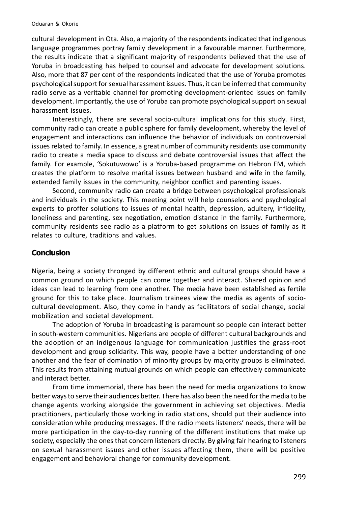cultural development in Ota. Also, a majority of the respondents indicated that indigenous language programmes portray family development in a favourable manner. Furthermore, the results indicate that a significant majority of respondents believed that the use of Yoruba in broadcasting has helped to counsel and advocate for development solutions. Also, more that 87 per cent of the respondents indicated that the use of Yoruba promotes psychological support for sexual harassment issues. Thus, it can be inferred that community radio serve as a veritable channel for promoting development-oriented issues on family development. Importantly, the use of Yoruba can promote psychological support on sexual harassment issues.

Interestingly, there are several socio-cultural implications for this study. First, community radio can create a public sphere for family development, whereby the level of engagement and interactions can influence the behavior of individuals on controversial issues related to family. In essence, a great number of community residents use community radio to create a media space to discuss and debate controversial issues that affect the family. For example, 'Sokutuwowo' is a Yoruba-based programme on Hebron FM, which creates the platform to resolve marital issues between husband and wife in the family, extended family issues in the community, neighbor conflict and parenting issues.

Second, community radio can create a bridge between psychological professionals and individuals in the society. This meeting point will help counselors and psychological experts to proffer solutions to issues of mental health, depression, adultery, infidelity, loneliness and parenting, sex negotiation, emotion distance in the family. Furthermore, community residents see radio as a platform to get solutions on issues of family as it relates to culture, traditions and values.

#### **Conclusion**

Nigeria, being a society thronged by different ethnic and cultural groups should have a common ground on which people can come together and interact. Shared opinion and ideas can lead to learning from one another. The media have been established as fertile ground for this to take place. Journalism trainees view the media as agents of sociocultural development. Also, they come in handy as facilitators of social change, social mobilization and societal development.

The adoption of Yoruba in broadcasting is paramount so people can interact better in south-western communities. Nigerians are people of different cultural backgrounds and the adoption of an indigenous language for communication justifies the grass-root development and group solidarity. This way, people have a better understanding of one another and the fear of domination of minority groups by majority groups is eliminated. This results from attaining mutual grounds on which people can effectively communicate and interact better.

From time immemorial, there has been the need for media organizations to know better ways to serve their audiences better. There has also been the need for the media to be change agents working alongside the government in achieving set objectives. Media practitioners, particularly those working in radio stations, should put their audience into consideration while producing messages. If the radio meets listeners' needs, there will be more participation in the day-to-day running of the different institutions that make up society, especially the ones that concern listeners directly. By giving fair hearing to listeners on sexual harassment issues and other issues affecting them, there will be positive engagement and behavioral change for community development.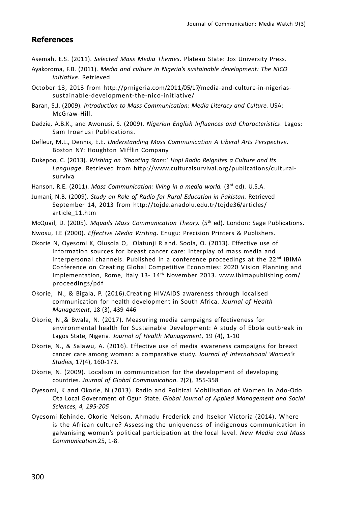#### **References**

Asemah, E.S. (2011). *Selected Mass Media Themes*. Plateau State: Jos University Press.

- Ayakoroma, F.B. (2011). *Media and culture in Nigeria's sustainable development: The NICO initiative*. Retrieved
- October 13, 2013 from http://prnigeria.com/2011/05/17/media-and-culture-in-nigeriassustainable-development-the-nico-initiative/
- Baran, S.J. (2009). *Introduction to Mass Communication: Media Literacy and Culture*. USA: McGraw-Hill.
- Dadzie, A.B.K., and Awonusi, S. (2009). *Nigerian English Influences and Characteristics*. Lagos: Sam Iroanusi Publications.
- Defleur, M.L., Dennis, E.E. *Understanding Mass Communication A Liberal Arts Perspective*. Boston NY: Houghton Mifflin Company
- Dukepoo, C. (2013). *Wishing on 'Shooting Stars:' Hopi Radio Reignites a Culture and Its Language*. Retrieved from http://www.culturalsurvival.org/publications/culturalsurviva

Hanson, R.E. (2011). *Mass Communication: living in a media world.* (3<sup>rd</sup> ed). U.S.A.

Jumani, N.B. (2009). *Study on Role of Radio for Rural Education in Pakistan*. Retrieved September 14, 2013 from http://tojde.anadolu.edu.tr/tojde36/articles/ article\_11.htm

McQuail, D. (2005). *Mquails Mass Communication Theory.* (5th ed). London: Sage Publications.

- Nwosu, I.E (2000). *Effective Media Writing*. Enugu: Precision Printers & Publishers.
- Okorie N, Oyesomi K, Olusola O, Olatunji R and. Soola, O. (2013). Effective use of information sources for breast cancer care: interplay of mass media and interpersonal channels. Published in a conference proceedings at the  $22^{nd}$  IBIMA Conference on Creating Global Competitive Economies: 2020 V ision Planning and Implementation, Rome, Italy 13- 14th November 2013. www.ibimapublishing.com/ proceedings/pdf
- Okorie, N., & Bigala, P. (2016).Creating HIV/AIDS awareness through localised communication for health development in South Africa. *Journal of Health Management*, 18 (3), 439-446
- Okorie, N.,& Bwala, N. (2017). Measuring media campaigns effectiveness for environmental health for Sustainable Development: A study of Ebola outbreak in Lagos State, Nigeria. *Journal of Health Management*, 19 (4), 1-10
- Okorie, N., & Salawu, A. (2016). Effective use of media awareness campaigns for breast cancer care among woman: a comparative study. *Journal of International Women's Studies,* 17(4), 160-173.
- Okorie, N. (2009). Localism in communication for the development of developing countries. *Journal of Global Communication*. 2(2), 355-358
- Oyesomi, K and Okorie, N (2013). Radio and Political Mobilisation of Women in Ado-Odo Ota Local Government of Ogun State. *Global Journal of Applied Management and Social Sciences, 4, 195-205*
- Oyesomi Kehinde, Okorie Nelson, Ahmadu Frederick and Itsekor V ictoria.(2014). Where is the African culture? Assessing the uniqueness of indigenous communication in galvanising women's political participation at the local level. *New Media and Mass Communication*.25, 1-8.